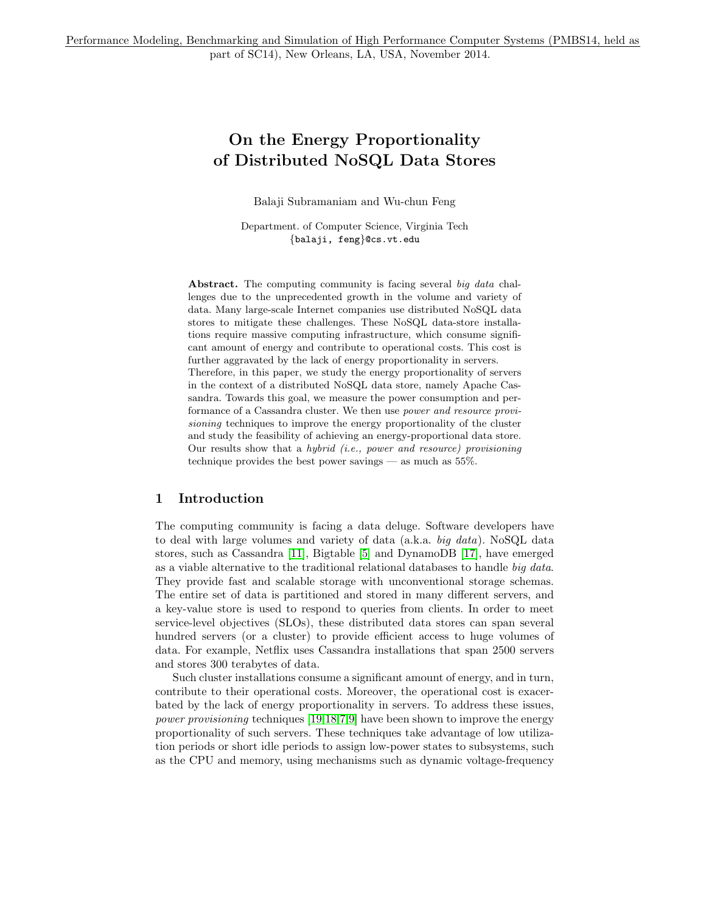# On the Energy Proportionality of Distributed NoSQL Data Stores

Balaji Subramaniam and Wu-chun Feng

Department. of Computer Science, Virginia Tech {balaji, feng}@cs.vt.edu

Abstract. The computing community is facing several big data challenges due to the unprecedented growth in the volume and variety of data. Many large-scale Internet companies use distributed NoSQL data stores to mitigate these challenges. These NoSQL data-store installations require massive computing infrastructure, which consume significant amount of energy and contribute to operational costs. This cost is further aggravated by the lack of energy proportionality in servers. Therefore, in this paper, we study the energy proportionality of servers in the context of a distributed NoSQL data store, namely Apache Cassandra. Towards this goal, we measure the power consumption and performance of a Cassandra cluster. We then use power and resource provisioning techniques to improve the energy proportionality of the cluster and study the feasibility of achieving an energy-proportional data store. Our results show that a hybrid  $(i.e., power and resource)$  provisioning technique provides the best power savings — as much as 55%.

### 1 Introduction

The computing community is facing a data deluge. Software developers have to deal with large volumes and variety of data (a.k.a. big data). NoSQL data stores, such as Cassandra [\[11\]](#page-10-0), Bigtable [\[5\]](#page-9-0) and DynamoDB [\[17\]](#page-10-1), have emerged as a viable alternative to the traditional relational databases to handle big data. They provide fast and scalable storage with unconventional storage schemas. The entire set of data is partitioned and stored in many different servers, and a key-value store is used to respond to queries from clients. In order to meet service-level objectives (SLOs), these distributed data stores can span several hundred servers (or a cluster) to provide efficient access to huge volumes of data. For example, Netflix uses Cassandra installations that span 2500 servers and stores 300 terabytes of data.

Such cluster installations consume a significant amount of energy, and in turn, contribute to their operational costs. Moreover, the operational cost is exacerbated by the lack of energy proportionality in servers. To address these issues, power provisioning techniques [\[19](#page-10-2)[,18,](#page-10-3)[7,](#page-9-1)[9\]](#page-10-4) have been shown to improve the energy proportionality of such servers. These techniques take advantage of low utilization periods or short idle periods to assign low-power states to subsystems, such as the CPU and memory, using mechanisms such as dynamic voltage-frequency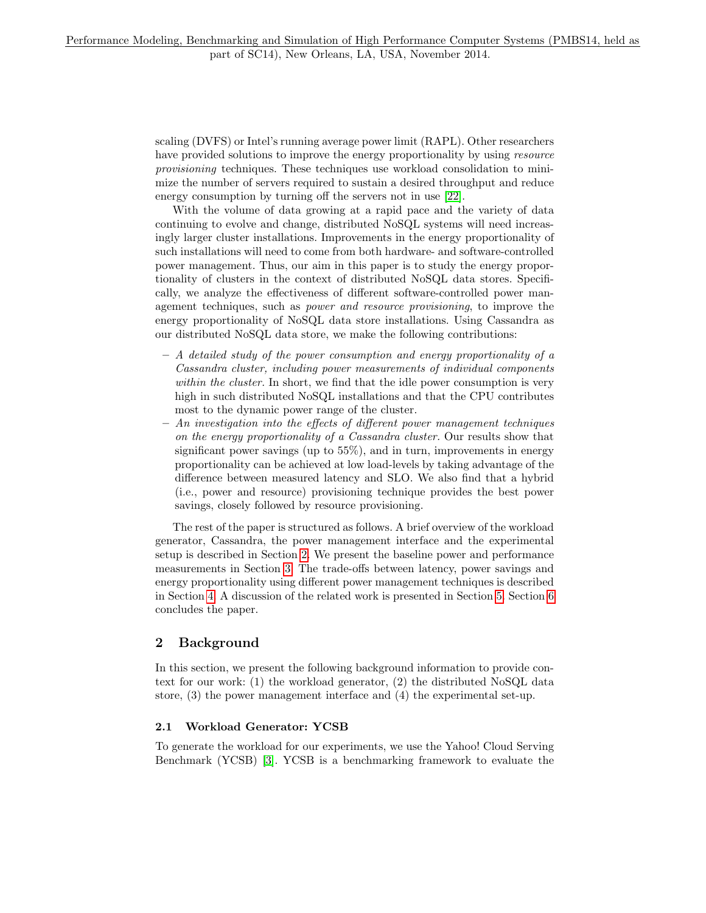scaling (DVFS) or Intel's running average power limit (RAPL). Other researchers have provided solutions to improve the energy proportionality by using *resource* provisioning techniques. These techniques use workload consolidation to minimize the number of servers required to sustain a desired throughput and reduce energy consumption by turning off the servers not in use [\[22\]](#page-10-5).

With the volume of data growing at a rapid pace and the variety of data continuing to evolve and change, distributed NoSQL systems will need increasingly larger cluster installations. Improvements in the energy proportionality of such installations will need to come from both hardware- and software-controlled power management. Thus, our aim in this paper is to study the energy proportionality of clusters in the context of distributed NoSQL data stores. Specifically, we analyze the effectiveness of different software-controlled power management techniques, such as power and resource provisioning, to improve the energy proportionality of NoSQL data store installations. Using Cassandra as our distributed NoSQL data store, we make the following contributions:

- A detailed study of the power consumption and energy proportionality of a Cassandra cluster, including power measurements of individual components within the cluster. In short, we find that the idle power consumption is very high in such distributed NoSQL installations and that the CPU contributes most to the dynamic power range of the cluster.
- $An$  investigation into the effects of different power management techniques on the energy proportionality of a Cassandra cluster. Our results show that significant power savings (up to 55%), and in turn, improvements in energy proportionality can be achieved at low load-levels by taking advantage of the difference between measured latency and SLO. We also find that a hybrid (i.e., power and resource) provisioning technique provides the best power savings, closely followed by resource provisioning.

The rest of the paper is structured as follows. A brief overview of the workload generator, Cassandra, the power management interface and the experimental setup is described in Section [2.](#page-1-0) We present the baseline power and performance measurements in Section [3.](#page-3-0) The trade-offs between latency, power savings and energy proportionality using different power management techniques is described in Section [4.](#page-5-0) A discussion of the related work is presented in Section [5.](#page-8-0) Section [6](#page-9-2) concludes the paper.

# <span id="page-1-0"></span>2 Background

In this section, we present the following background information to provide context for our work: (1) the workload generator, (2) the distributed NoSQL data store, (3) the power management interface and (4) the experimental set-up.

## 2.1 Workload Generator: YCSB

To generate the workload for our experiments, we use the Yahoo! Cloud Serving Benchmark (YCSB) [\[3\]](#page-9-3). YCSB is a benchmarking framework to evaluate the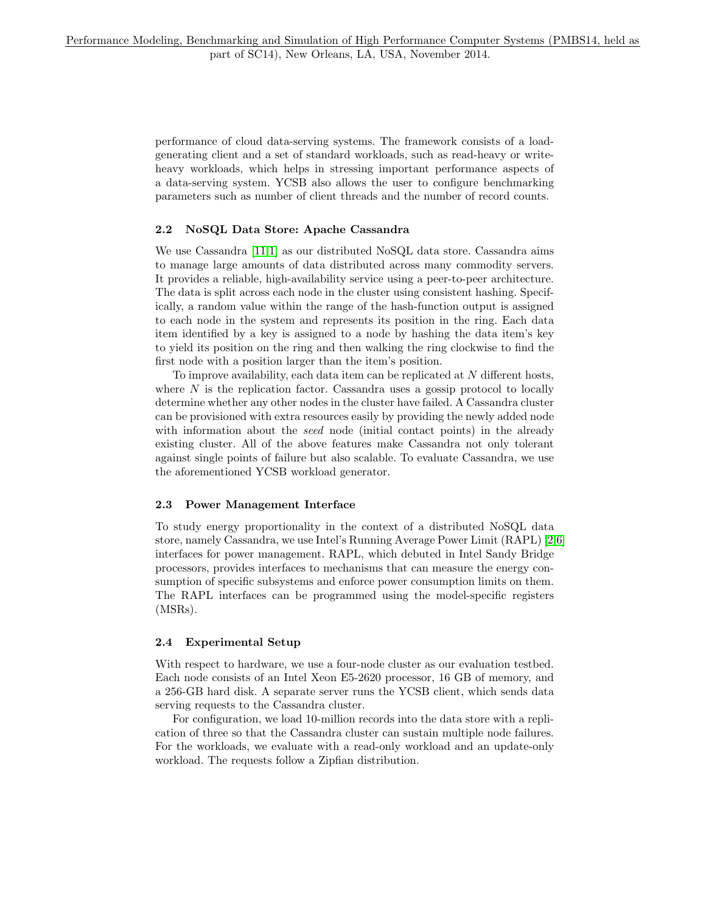performance of cloud data-serving systems. The framework consists of a loadgenerating client and a set of standard workloads, such as read-heavy or writeheavy workloads, which helps in stressing important performance aspects of a data-serving system. YCSB also allows the user to configure benchmarking parameters such as number of client threads and the number of record counts.

#### 2.2 NoSQL Data Store: Apache Cassandra

We use Cassandra [\[11,](#page-10-0)[1\]](#page-9-4) as our distributed NoSQL data store. Cassandra aims to manage large amounts of data distributed across many commodity servers. It provides a reliable, high-availability service using a peer-to-peer architecture. The data is split across each node in the cluster using consistent hashing. Specifically, a random value within the range of the hash-function output is assigned to each node in the system and represents its position in the ring. Each data item identified by a key is assigned to a node by hashing the data item's key to yield its position on the ring and then walking the ring clockwise to find the first node with a position larger than the item's position.

To improve availability, each data item can be replicated at N different hosts, where  $N$  is the replication factor. Cassandra uses a gossip protocol to locally determine whether any other nodes in the cluster have failed. A Cassandra cluster can be provisioned with extra resources easily by providing the newly added node with information about the *seed* node (initial contact points) in the already existing cluster. All of the above features make Cassandra not only tolerant against single points of failure but also scalable. To evaluate Cassandra, we use the aforementioned YCSB workload generator.

#### 2.3 Power Management Interface

To study energy proportionality in the context of a distributed NoSQL data store, namely Cassandra, we use Intel's Running Average Power Limit (RAPL) [\[2,](#page-9-5)[6\]](#page-9-6) interfaces for power management. RAPL, which debuted in Intel Sandy Bridge processors, provides interfaces to mechanisms that can measure the energy consumption of specific subsystems and enforce power consumption limits on them. The RAPL interfaces can be programmed using the model-specific registers (MSRs).

#### 2.4 Experimental Setup

With respect to hardware, we use a four-node cluster as our evaluation testbed. Each node consists of an Intel Xeon E5-2620 processor, 16 GB of memory, and a 256-GB hard disk. A separate server runs the YCSB client, which sends data serving requests to the Cassandra cluster.

For configuration, we load 10-million records into the data store with a replication of three so that the Cassandra cluster can sustain multiple node failures. For the workloads, we evaluate with a read-only workload and an update-only workload. The requests follow a Zipfian distribution.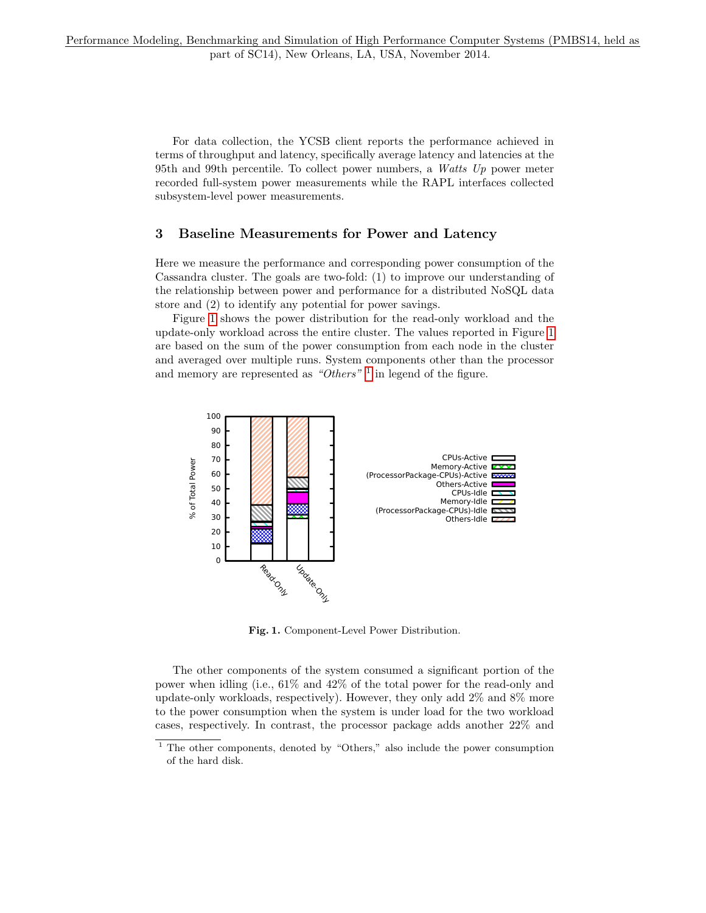For data collection, the YCSB client reports the performance achieved in terms of throughput and latency, specifically average latency and latencies at the 95th and 99th percentile. To collect power numbers, a Watts Up power meter recorded full-system power measurements while the RAPL interfaces collected subsystem-level power measurements.

#### <span id="page-3-0"></span>3 Baseline Measurements for Power and Latency

Here we measure the performance and corresponding power consumption of the Cassandra cluster. The goals are two-fold: (1) to improve our understanding of the relationship between power and performance for a distributed NoSQL data store and (2) to identify any potential for power savings.

Figure [1](#page-3-1) shows the power distribution for the read-only workload and the update-only workload across the entire cluster. The values reported in Figure [1](#page-3-1) are based on the sum of the power consumption from each node in the cluster and averaged over multiple runs. System components other than the processor and memory are represented as " $Others$ " [1](#page-3-2) in legend of the figure.



<span id="page-3-1"></span>Fig. 1. Component-Level Power Distribution.

The other components of the system consumed a significant portion of the power when idling (i.e., 61% and 42% of the total power for the read-only and update-only workloads, respectively). However, they only add 2% and 8% more to the power consumption when the system is under load for the two workload cases, respectively. In contrast, the processor package adds another 22% and

<span id="page-3-2"></span><sup>&</sup>lt;sup>1</sup> The other components, denoted by "Others," also include the power consumption of the hard disk.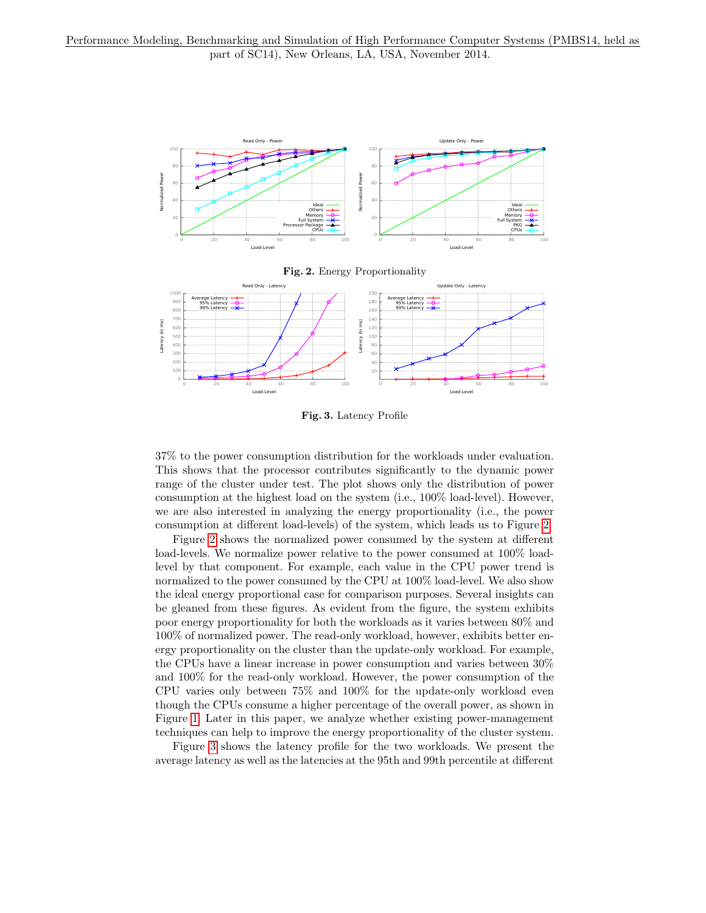

<span id="page-4-1"></span><span id="page-4-0"></span>Fig. 3. Latency Profile

37% to the power consumption distribution for the workloads under evaluation. This shows that the processor contributes significantly to the dynamic power range of the cluster under test. The plot shows only the distribution of power consumption at the highest load on the system (i.e., 100% load-level). However, we are also interested in analyzing the energy proportionality (i.e., the power consumption at different load-levels) of the system, which leads us to Figure [2.](#page-4-0)

Figure [2](#page-4-0) shows the normalized power consumed by the system at different load-levels. We normalize power relative to the power consumed at 100% loadlevel by that component. For example, each value in the CPU power trend is normalized to the power consumed by the CPU at 100% load-level. We also show the ideal energy proportional case for comparison purposes. Several insights can be gleaned from these figures. As evident from the figure, the system exhibits poor energy proportionality for both the workloads as it varies between 80% and 100% of normalized power. The read-only workload, however, exhibits better energy proportionality on the cluster than the update-only workload. For example, the CPUs have a linear increase in power consumption and varies between 30% and 100% for the read-only workload. However, the power consumption of the CPU varies only between 75% and 100% for the update-only workload even though the CPUs consume a higher percentage of the overall power, as shown in Figure [1.](#page-3-1) Later in this paper, we analyze whether existing power-management techniques can help to improve the energy proportionality of the cluster system.

Figure [3](#page-4-1) shows the latency profile for the two workloads. We present the average latency as well as the latencies at the 95th and 99th percentile at different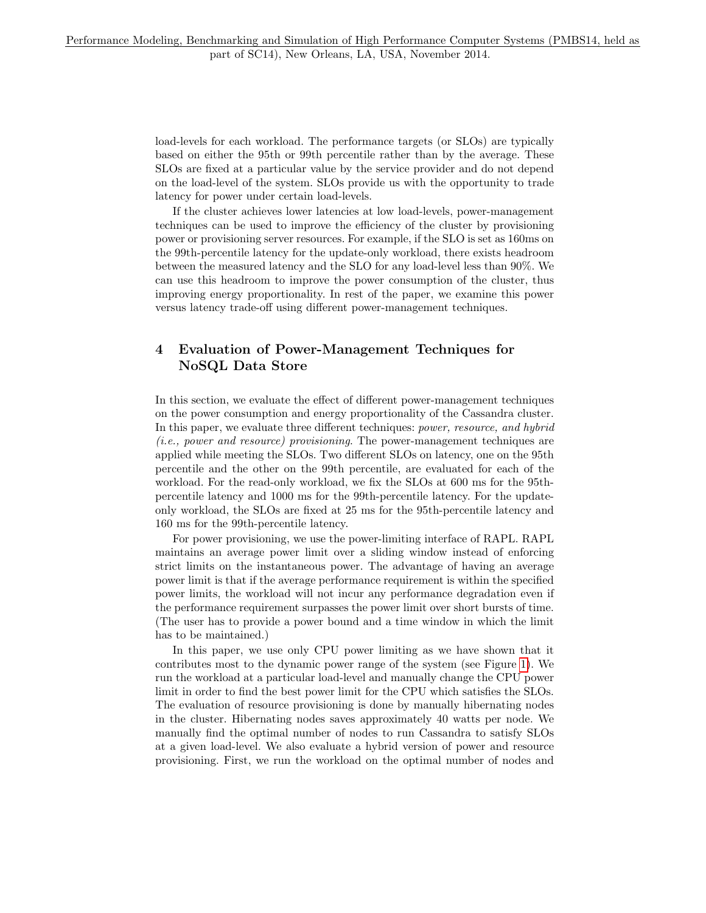load-levels for each workload. The performance targets (or SLOs) are typically based on either the 95th or 99th percentile rather than by the average. These SLOs are fixed at a particular value by the service provider and do not depend on the load-level of the system. SLOs provide us with the opportunity to trade latency for power under certain load-levels.

If the cluster achieves lower latencies at low load-levels, power-management techniques can be used to improve the efficiency of the cluster by provisioning power or provisioning server resources. For example, if the SLO is set as 160ms on the 99th-percentile latency for the update-only workload, there exists headroom between the measured latency and the SLO for any load-level less than 90%. We can use this headroom to improve the power consumption of the cluster, thus improving energy proportionality. In rest of the paper, we examine this power versus latency trade-off using different power-management techniques.

# <span id="page-5-0"></span>4 Evaluation of Power-Management Techniques for NoSQL Data Store

In this section, we evaluate the effect of different power-management techniques on the power consumption and energy proportionality of the Cassandra cluster. In this paper, we evaluate three different techniques: power, resource, and hybrid (i.e., power and resource) provisioning. The power-management techniques are applied while meeting the SLOs. Two different SLOs on latency, one on the 95th percentile and the other on the 99th percentile, are evaluated for each of the workload. For the read-only workload, we fix the SLOs at 600 ms for the 95thpercentile latency and 1000 ms for the 99th-percentile latency. For the updateonly workload, the SLOs are fixed at 25 ms for the 95th-percentile latency and 160 ms for the 99th-percentile latency.

For power provisioning, we use the power-limiting interface of RAPL. RAPL maintains an average power limit over a sliding window instead of enforcing strict limits on the instantaneous power. The advantage of having an average power limit is that if the average performance requirement is within the specified power limits, the workload will not incur any performance degradation even if the performance requirement surpasses the power limit over short bursts of time. (The user has to provide a power bound and a time window in which the limit has to be maintained.)

In this paper, we use only CPU power limiting as we have shown that it contributes most to the dynamic power range of the system (see Figure [1\)](#page-3-1). We run the workload at a particular load-level and manually change the CPU power limit in order to find the best power limit for the CPU which satisfies the SLOs. The evaluation of resource provisioning is done by manually hibernating nodes in the cluster. Hibernating nodes saves approximately 40 watts per node. We manually find the optimal number of nodes to run Cassandra to satisfy SLOs at a given load-level. We also evaluate a hybrid version of power and resource provisioning. First, we run the workload on the optimal number of nodes and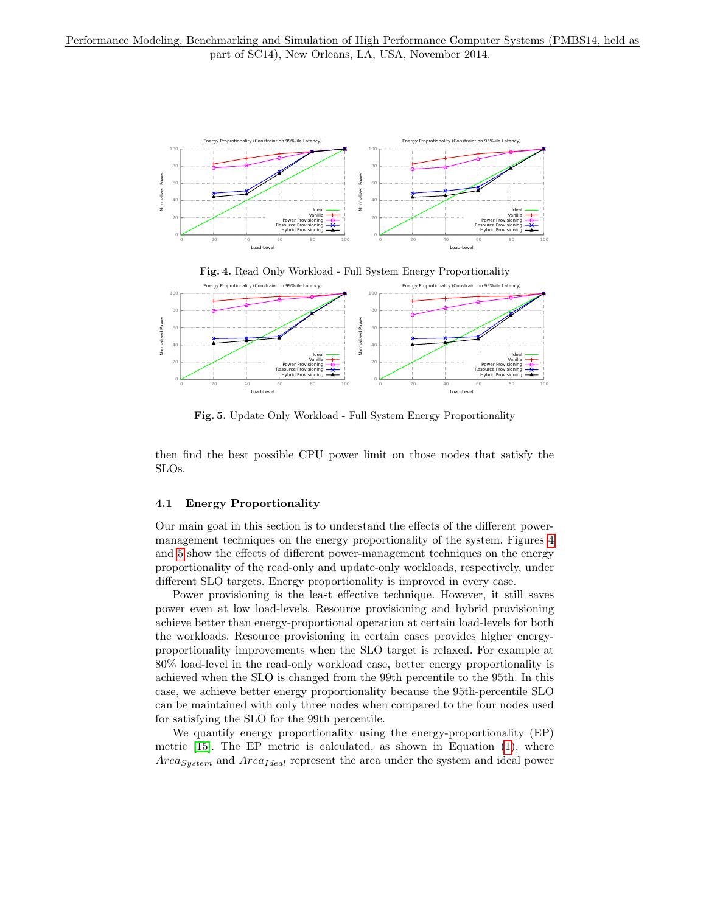

<span id="page-6-0"></span>



<span id="page-6-1"></span>Fig. 5. Update Only Workload - Full System Energy Proportionality

then find the best possible CPU power limit on those nodes that satisfy the SLOs.

#### 4.1 Energy Proportionality

Our main goal in this section is to understand the effects of the different powermanagement techniques on the energy proportionality of the system. Figures [4](#page-6-0) and [5](#page-6-1) show the effects of different power-management techniques on the energy proportionality of the read-only and update-only workloads, respectively, under different SLO targets. Energy proportionality is improved in every case.

Power provisioning is the least effective technique. However, it still saves power even at low load-levels. Resource provisioning and hybrid provisioning achieve better than energy-proportional operation at certain load-levels for both the workloads. Resource provisioning in certain cases provides higher energyproportionality improvements when the SLO target is relaxed. For example at 80% load-level in the read-only workload case, better energy proportionality is achieved when the SLO is changed from the 99th percentile to the 95th. In this case, we achieve better energy proportionality because the 95th-percentile SLO can be maintained with only three nodes when compared to the four nodes used for satisfying the SLO for the 99th percentile.

We quantify energy proportionality using the energy-proportionality (EP) metric [\[15\]](#page-10-6). The EP metric is calculated, as shown in Equation [\(1\)](#page-7-0), where  $Area_{System}$  and  $Area_{Ideal}$  represent the area under the system and ideal power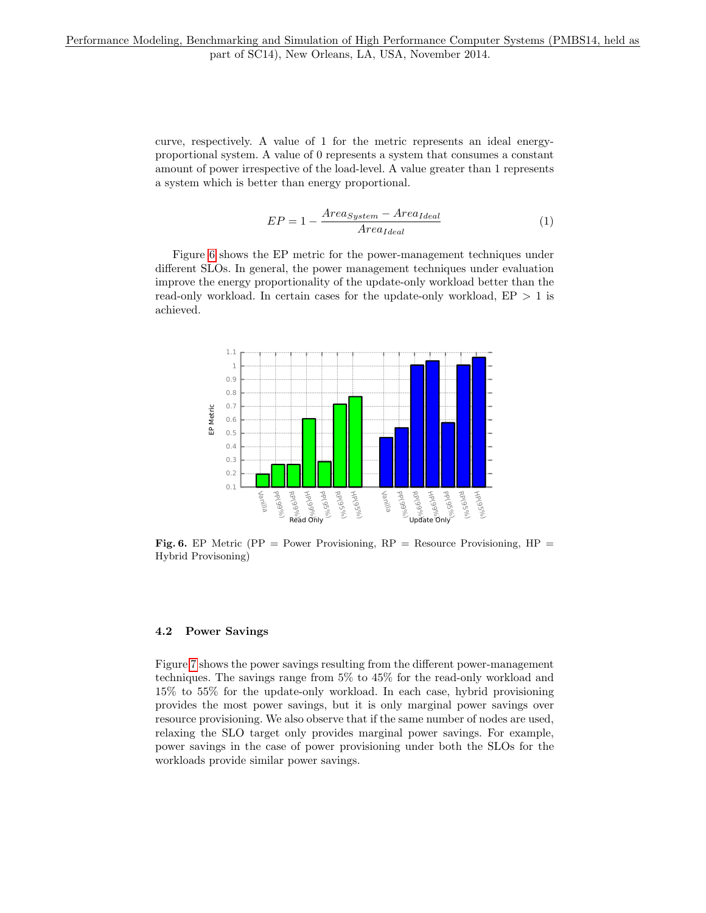curve, respectively. A value of 1 for the metric represents an ideal energyproportional system. A value of 0 represents a system that consumes a constant amount of power irrespective of the load-level. A value greater than 1 represents a system which is better than energy proportional.

<span id="page-7-0"></span>
$$
EP = 1 - \frac{Area_{System} - Area_{Ideal}}{Area_{Ideal}} \tag{1}
$$

Figure [6](#page-7-1) shows the EP metric for the power-management techniques under different SLOs. In general, the power management techniques under evaluation improve the energy proportionality of the update-only workload better than the read-only workload. In certain cases for the update-only workload,  $EP > 1$  is achieved.



<span id="page-7-1"></span>Fig. 6. EP Metric (PP = Power Provisioning,  $RP =$  Resource Provisioning,  $HP =$ Hybrid Provisoning)

## 4.2 Power Savings

Figure [7](#page-8-1) shows the power savings resulting from the different power-management techniques. The savings range from 5% to 45% for the read-only workload and 15% to 55% for the update-only workload. In each case, hybrid provisioning provides the most power savings, but it is only marginal power savings over resource provisioning. We also observe that if the same number of nodes are used, relaxing the SLO target only provides marginal power savings. For example, power savings in the case of power provisioning under both the SLOs for the workloads provide similar power savings.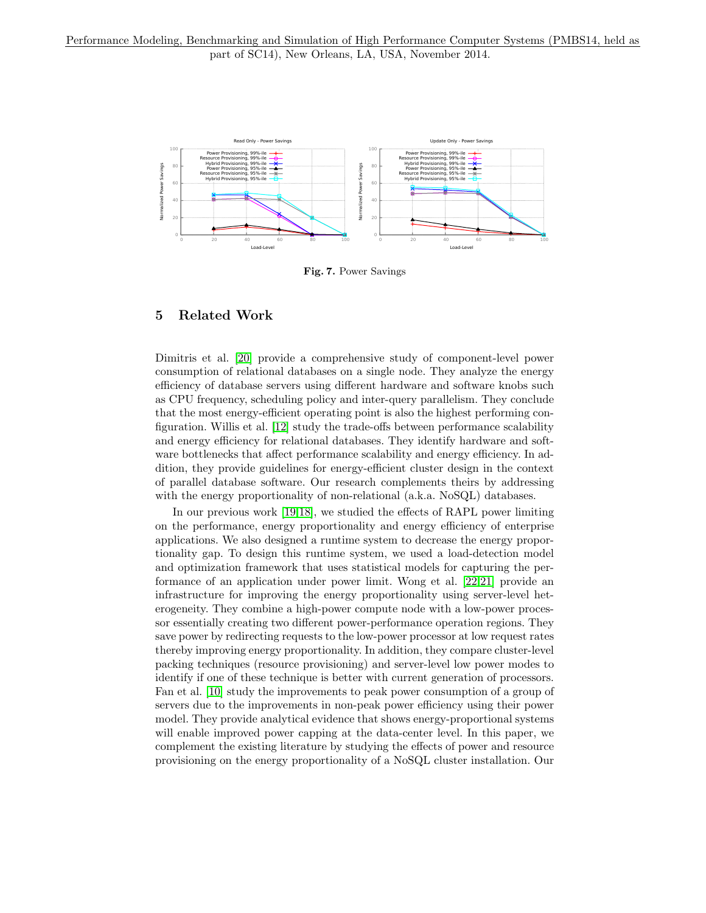

<span id="page-8-1"></span>Fig. 7. Power Savings

# <span id="page-8-0"></span>5 Related Work

Dimitris et al. [\[20\]](#page-10-7) provide a comprehensive study of component-level power consumption of relational databases on a single node. They analyze the energy efficiency of database servers using different hardware and software knobs such as CPU frequency, scheduling policy and inter-query parallelism. They conclude that the most energy-efficient operating point is also the highest performing configuration. Willis et al. [\[12\]](#page-10-8) study the trade-offs between performance scalability and energy efficiency for relational databases. They identify hardware and software bottlenecks that affect performance scalability and energy efficiency. In addition, they provide guidelines for energy-efficient cluster design in the context of parallel database software. Our research complements theirs by addressing with the energy proportionality of non-relational (a.k.a. NoSQL) databases.

In our previous work [\[19,](#page-10-2)[18\]](#page-10-3), we studied the effects of RAPL power limiting on the performance, energy proportionality and energy efficiency of enterprise applications. We also designed a runtime system to decrease the energy proportionality gap. To design this runtime system, we used a load-detection model and optimization framework that uses statistical models for capturing the performance of an application under power limit. Wong et al. [\[22,](#page-10-5)[21\]](#page-10-9) provide an infrastructure for improving the energy proportionality using server-level heterogeneity. They combine a high-power compute node with a low-power processor essentially creating two different power-performance operation regions. They save power by redirecting requests to the low-power processor at low request rates thereby improving energy proportionality. In addition, they compare cluster-level packing techniques (resource provisioning) and server-level low power modes to identify if one of these technique is better with current generation of processors. Fan et al. [\[10\]](#page-10-10) study the improvements to peak power consumption of a group of servers due to the improvements in non-peak power efficiency using their power model. They provide analytical evidence that shows energy-proportional systems will enable improved power capping at the data-center level. In this paper, we complement the existing literature by studying the effects of power and resource provisioning on the energy proportionality of a NoSQL cluster installation. Our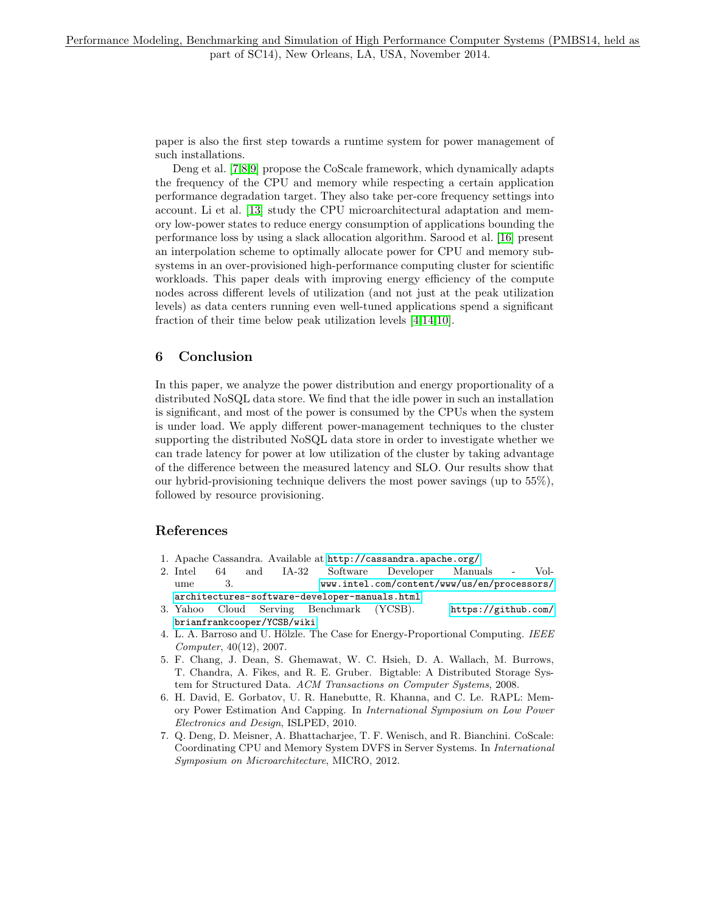paper is also the first step towards a runtime system for power management of such installations.

Deng et al. [\[7,](#page-9-1)[8,](#page-10-11)[9\]](#page-10-4) propose the CoScale framework, which dynamically adapts the frequency of the CPU and memory while respecting a certain application performance degradation target. They also take per-core frequency settings into account. Li et al. [\[13\]](#page-10-12) study the CPU microarchitectural adaptation and memory low-power states to reduce energy consumption of applications bounding the performance loss by using a slack allocation algorithm. Sarood et al. [\[16\]](#page-10-13) present an interpolation scheme to optimally allocate power for CPU and memory subsystems in an over-provisioned high-performance computing cluster for scientific workloads. This paper deals with improving energy efficiency of the compute nodes across different levels of utilization (and not just at the peak utilization levels) as data centers running even well-tuned applications spend a significant fraction of their time below peak utilization levels [\[4](#page-9-7)[,14,](#page-10-14)[10\]](#page-10-10).

## <span id="page-9-2"></span>6 Conclusion

In this paper, we analyze the power distribution and energy proportionality of a distributed NoSQL data store. We find that the idle power in such an installation is significant, and most of the power is consumed by the CPUs when the system is under load. We apply different power-management techniques to the cluster supporting the distributed NoSQL data store in order to investigate whether we can trade latency for power at low utilization of the cluster by taking advantage of the difference between the measured latency and SLO. Our results show that our hybrid-provisioning technique delivers the most power savings (up to 55%), followed by resource provisioning.

## References

- <span id="page-9-4"></span>1. Apache Cassandra. Available at <http://cassandra.apache.org/>.
- <span id="page-9-5"></span>2. Intel 64 and IA-32 Software Developer Manuals - Volume 3. [www.intel.com/content/www/us/en/processors/](www.intel.com/content/www/us/en/processors/architectures-software-developer-manuals.html) [architectures-software-developer-manuals.html](www.intel.com/content/www/us/en/processors/architectures-software-developer-manuals.html).
- <span id="page-9-3"></span>3. Yahoo Cloud Serving Benchmark (YCSB). [https://github.com/](https://github.com/brianfrankcooper/YCSB/wiki) [brianfrankcooper/YCSB/wiki](https://github.com/brianfrankcooper/YCSB/wiki).
- <span id="page-9-7"></span>4. L. A. Barroso and U. Hölzle. The Case for Energy-Proportional Computing. IEEE Computer, 40(12), 2007.
- <span id="page-9-0"></span>5. F. Chang, J. Dean, S. Ghemawat, W. C. Hsieh, D. A. Wallach, M. Burrows, T. Chandra, A. Fikes, and R. E. Gruber. Bigtable: A Distributed Storage System for Structured Data. ACM Transactions on Computer Systems, 2008.
- <span id="page-9-6"></span>6. H. David, E. Gorbatov, U. R. Hanebutte, R. Khanna, and C. Le. RAPL: Memory Power Estimation And Capping. In International Symposium on Low Power Electronics and Design, ISLPED, 2010.
- <span id="page-9-1"></span>7. Q. Deng, D. Meisner, A. Bhattacharjee, T. F. Wenisch, and R. Bianchini. CoScale: Coordinating CPU and Memory System DVFS in Server Systems. In International Symposium on Microarchitecture, MICRO, 2012.